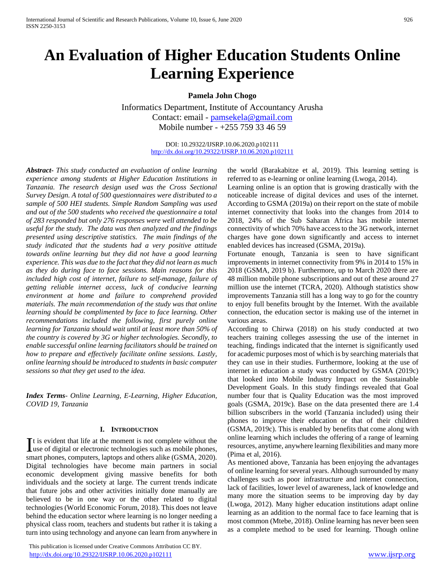# **An Evaluation of Higher Education Students Online Learning Experience**

**Pamela John Chogo**

Informatics Department, Institute of Accountancy Arusha Contact: email - [pamsekela@gmail.com](mailto:pamsekela@gmail.com) Mobile number - +255 759 33 46 59

> DOI: 10.29322/IJSRP.10.06.2020.p102111 <http://dx.doi.org/10.29322/IJSRP.10.06.2020.p102111>

*Abstract***-** *This study conducted an evaluation of online learning experience among students at Higher Education Institutions in Tanzania. The research design used was the Cross Sectional Survey Design. A total of 500 questionnaires were distributed to a sample of 500 HEI students. Simple Random Sampling was used and out of the 500 students who received the questionnaire a total of 283 responded but only 276 responses were well attended to be useful for the study. The data was then analyzed and the findings presented using descriptive statistics. The main findings of the study indicated that the students had a very positive attitude towards online learning but they did not have a good learning experience. This was due to the fact that they did not learn as much as they do during face to face sessions. Main reasons for this included high cost of internet, failure to self-manage, failure of getting reliable internet access, luck of conducive learning environment at home and failure to comprehend provided materials. The main recommendation of the study was that online learning should be complimented by face to face learning. Other recommendations included the following, first purely online learning for Tanzania should wait until at least more than 50% of the country is covered by 3G or higher technologies. Secondly, to enable successful online learning facilitators should be trained on how to prepare and effectively facilitate online sessions. Lastly, online learning should be introduced to students in basic computer sessions so that they get used to the idea.* 

*Index Terms*- *Online Learning, E-Learning, Higher Education, COVID 19, Tanzania*

#### **I. INTRODUCTION**

t is evident that life at the moment is not complete without the It is evident that life at the moment is not complete without the use of digital or electronic technologies such as mobile phones, smart phones, computers, laptops and others alike (GSMA, 2020). Digital technologies have become main partners in social economic development giving massive benefits for both individuals and the society at large. The current trends indicate that future jobs and other activities initially done manually are believed to be in one way or the other related to digital technologies (World Economic Forum, 2018). This does not leave behind the education sector where learning is no longer needing a physical class room, teachers and students but rather it is taking a turn into using technology and anyone can learn from anywhere in

 This publication is licensed under Creative Commons Attribution CC BY. <http://dx.doi.org/10.29322/IJSRP.10.06.2020.p102111> [www.ijsrp.org](http://ijsrp.org/)

the world (Barakabitze et al, 2019). This learning setting is referred to as e-learning or online learning (Lwoga, 2014).

Learning online is an option that is growing drastically with the noticeable increase of digital devices and uses of the internet. According to GSMA (2019a) on their report on the state of mobile internet connectivity that looks into the changes from 2014 to 2018, 24% of the Sub Saharan Africa has mobile internet connectivity of which 70% have access to the 3G network, internet charges have gone down significantly and access to internet enabled devices has increased (GSMA, 2019a).

Fortunate enough, Tanzania is seen to have significant improvements in internet connectivity from 9% in 2014 to 15% in 2018 (GSMA, 2019 b). Furthermore, up to March 2020 there are 48 million mobile phone subscriptions and out of these around 27 million use the internet (TCRA, 2020). Although statistics show improvements Tanzania still has a long way to go for the country to enjoy full benefits brought by the Internet. With the available connection, the education sector is making use of the internet in various areas.

According to Chirwa (2018) on his study conducted at two teachers training colleges assessing the use of the internet in teaching, findings indicated that the internet is significantly used for academic purposes most of which is by searching materials that they can use in their studies. Furthermore, looking at the use of internet in education a study was conducted by GSMA (2019c) that looked into Mobile Industry Impact on the Sustainable Development Goals. In this study findings revealed that Goal number four that is Quality Education was the most improved goals (GSMA, 2019c). Base on the data presented there are 1.4 billion subscribers in the world (Tanzania included) using their phones to improve their education or that of their children (GSMA, 2019c). This is enabled by benefits that come along with online learning which includes the offering of a range of learning resources, anytime, anywhere learning flexibilities and many more (Pima et al, 2016).

As mentioned above, Tanzania has been enjoying the advantages of online learning for several years. Although surrounded by many challenges such as poor infrastructure and internet connection, lack of facilities, lower level of awareness, lack of knowledge and many more the situation seems to be improving day by day (Lwoga, 2012). Many higher education institutions adapt online learning as an addition to the normal face to face learning that is most common (Mtebe, 2018). Online learning has never been seen as a complete method to be used for learning. Though online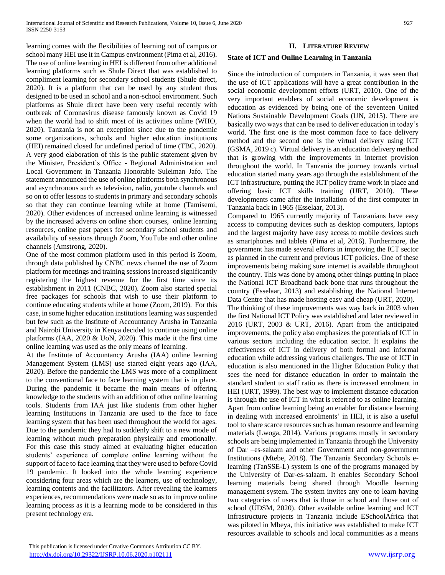learning comes with the flexibilities of learning out of campus or school many HEI use it in Campus environment (Pima et al, 2016). The use of online learning in HEI is different from other additional learning platforms such as Shule Direct that was established to compliment learning for secondary school students (Shule direct, 2020). It is a platform that can be used by any student thus designed to be used in school and a non-school environment. Such platforms as Shule direct have been very useful recently with outbreak of Coronavirus disease famously known as Covid 19 when the world had to shift most of its activities online (WHO, 2020). Tanzania is not an exception since due to the pandemic some organizations, schools and higher education institutions (HEI) remained closed for undefined period of time (TBC, 2020). A very good elaboration of this is the public statement given by the Minister, President's Office - Regional Administration and Local Government in Tanzania Honorable Suleiman Jafo. The statement announced the use of online platforms both synchronous and asynchronous such as television, radio, youtube channels and so on to offer lessons to students in primary and secondary schools so that they can continue learning while at home (Tamisemi, 2020). Other evidences of increased online learning is witnessed by the increased adverts on online short courses, online learning resources, online past papers for secondary school students and availability of sessions through Zoom, YouTube and other online channels (Amstrong, 2020).

One of the most common platform used in this period is Zoom, through data published by CNBC news channel the use of Zoom platform for meetings and training sessions increased significantly registering the highest revenue for the first time since its establishment in 2011 (CNBC, 2020). Zoom also started special free packages for schools that wish to use their platform to continue educating students while at home (Zoom, 2019). For this case, in some higher education institutions learning was suspended but few such as the Institute of Accountancy Arusha in Tanzania and Nairobi University in Kenya decided to continue using online platforms (IAA, 2020 & UoN, 2020). This made it the first time online learning was used as the only means of learning.

At the Institute of Accountancy Arusha (IAA) online learning Management System (LMS) use started eight years ago (IAA, 2020). Before the pandemic the LMS was more of a compliment to the conventional face to face learning system that is in place. During the pandemic it became the main means of offering knowledge to the students with an addition of other online learning tools. Students from IAA just like students from other higher learning Institutions in Tanzania are used to the face to face learning system that has been used throughout the world for ages. Due to the pandemic they had to suddenly shift to a new mode of learning without much preparation physically and emotionally. For this case this study aimed at evaluating higher education students' experience of complete online learning without the support of face to face learning that they were used to before Covid 19 pandemic. It looked into the whole learning experience considering four areas which are the learners, use of technology, learning contents and the facilitators. After revealing the learners experiences, recommendations were made so as to improve online learning process as it is a learning mode to be considered in this present technology era.

# **II. LITERATURE REVIEW**

## **State of ICT and Online Learning in Tanzania**

Since the introduction of computers in Tanzania, it was seen that the use of ICT applications will have a great contribution in the social economic development efforts (URT, 2010). One of the very important enablers of social economic development is education as evidenced by being one of the seventeen United Nations Sustainable Development Goals (UN, 2015). There are basically two ways that can be used to deliver education in today's world. The first one is the most common face to face delivery method and the second one is the virtual delivery using ICT (GSMA, 2019 c). Virtual delivery is an education delivery method that is growing with the improvements in internet provision throughout the world. In Tanzania the journey towards virtual education started many years ago through the establishment of the ICT infrastructure, putting the ICT policy frame work in place and offering basic ICT skills training (URT, 2010). These developments came after the installation of the first computer in Tanzania back in 1965 (Esselaar, 2013).

Compared to 1965 currently majority of Tanzanians have easy access to computing devices such as desktop computers, laptops and the largest majority have easy access to mobile devices such as smartphones and tablets (Pima et al, 2016). Furthermore, the government has made several efforts in improving the ICT sector as planned in the current and previous ICT policies. One of these improvements being making sure internet is available throughout the country. This was done by among other things putting in place the National ICT Broadband back bone that runs throughout the country (Esselaar, 2013) and establishing the National Internet Data Centre that has made hosting easy and cheap (URT, 2020).

The thinking of these improvements was way back in 2003 when the first National ICT Policy was established and later reviewed in 2016 (URT, 2003 & URT, 2016). Apart from the anticipated improvements, the policy also emphasizes the potentials of ICT in various sectors including the education sector. It explains the effectiveness of ICT in delivery of both formal and informal education while addressing various challenges. The use of ICT in education is also mentioned in the Higher Education Policy that sees the need for distance education in order to maintain the standard student to staff ratio as there is increased enrolment in HEI (URT, 1999). The best way to implement distance education is through the use of ICT in what is referred to as online learning. Apart from online learning being an enabler for distance learning in dealing with increased enrolments' in HEI, it is also a useful tool to share scarce resources such as human resource and learning materials (Lwoga, 2014). Various programs mostly in secondary schools are being implemented in Tanzania through the University of Dar –es-salaam and other Government and non-government Institutions (Mtebe, 2018). The Tanzania Secondary Schools elearning (TanSSE-L) system is one of the programs managed by the University of Dar-es-salaam. It enables Secondary School learning materials being shared through Moodle learning management system. The system invites any one to learn having two categories of users that is those in school and those out of school (UDSM, 2020). Other available online learning and ICT Infrastructure projects in Tanzania include ESchoolAfrica that was piloted in Mbeya, this initiative was established to make ICT resources available to schools and local communities as a means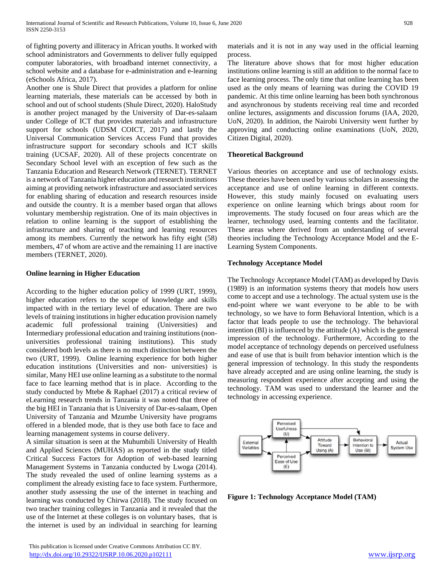of fighting poverty and illiteracy in African youths. It worked with school administrators and Governments to deliver fully equipped computer laboratories, with broadband internet connectivity, a school website and a database for e-administration and e-learning (eSchools Africa, 2017).

Another one is Shule Direct that provides a platform for online learning materials, these materials can be accessed by both in school and out of school students (Shule Direct, 2020). HaloStudy is another project managed by the University of Dar-es-salaam under College of ICT that provides materials and infrastructure support for schools (UDSM COICT, 2017) and lastly the Universal Communication Services Access Fund that provides infrastructure support for secondary schools and ICT skills training (UCSAF, 2020). All of these projects concentrate on Secondary School level with an exception of few such as the Tanzania Education and Research Network (TERNET). TERNET is a network of Tanzania higher education and research institutions aiming at providing network infrastructure and associated services for enabling sharing of education and research resources inside and outside the country. It is a member based organ that allows voluntary membership registration. One of its main objectives in relation to online learning is the support of establishing the infrastructure and sharing of teaching and learning resources among its members. Currently the network has fifty eight (58) members, 47 of whom are active and the remaining 11 are inactive members (TERNET, 2020).

# **Online learning in Higher Education**

According to the higher education policy of 1999 (URT, 1999), higher education refers to the scope of knowledge and skills impacted with in the tertiary level of education. There are two levels of training institutions in higher education provision namely academic full professional training (Universities) and Intermediary professional education and training institutions (nonuniversities professional training institutions). This study considered both levels as there is no much distinction between the two (URT, 1999). Online learning experience for both higher education institutions (Universities and non- universities) is similar, Many HEI use online learning as a substitute to the normal face to face learning method that is in place. According to the study conducted by Mtebe & Raphael (2017) a critical review of eLearning research trends in Tanzania it was noted that three of the big HEI in Tanzania that is University of Dar-es-salaam, Open University of Tanzania and Mzumbe University have programs offered in a blended mode, that is they use both face to face and learning management systems in course delivery.

A similar situation is seen at the Muhumbili University of Health and Applied Sciences (MUHAS) as reported in the study titled Critical Success Factors for Adoption of web-based learning Management Systems in Tanzania conducted by Lwoga (2014). The study revealed the used of online learning systems as a compliment the already existing face to face system. Furthermore, another study assessing the use of the internet in teaching and learning was conducted by Chirwa (2018). The study focused on two teacher training colleges in Tanzania and it revealed that the use of the Internet at these colleges is on voluntary bases, that is the internet is used by an individual in searching for learning

 This publication is licensed under Creative Commons Attribution CC BY. <http://dx.doi.org/10.29322/IJSRP.10.06.2020.p102111> [www.ijsrp.org](http://ijsrp.org/)

materials and it is not in any way used in the official learning process.

The literature above shows that for most higher education institutions online learning is still an addition to the normal face to face learning process. The only time that online learning has been used as the only means of learning was during the COVID 19 pandemic. At this time online learning has been both synchronous and asynchronous by students receiving real time and recorded online lectures, assignments and discussion forums (IAA, 2020, UoN, 2020). In addition, the Nairobi University went further by approving and conducting online examinations (UoN, 2020, Citizen Digital, 2020).

# **Theoretical Background**

Various theories on acceptance and use of technology exists. These theories have been used by various scholars in assessing the acceptance and use of online learning in different contexts. However, this study mainly focused on evaluating users experience on online learning which brings about room for improvements. The study focused on four areas which are the learner, technology used, learning contents and the facilitator. These areas where derived from an understanding of several theories including the Technology Acceptance Model and the E-Learning System Components.

# **Technology Acceptance Model**

The Technology Acceptance Model (TAM) as developed by Davis (1989) is an information systems theory that models how users come to accept and use a technology. The actual system use is the end-point where we want everyone to be able to be with technology, so we have to form Behavioral Intention, which is a factor that leads people to use the technology. The behavioral intention (BI) is influenced by the attitude (A) which is the general impression of the technology. Furthermore, According to the model acceptance of technology depends on perceived usefulness and ease of use that is built from behavior intention which is the general impression of technology. In this study the respondents have already accepted and are using online learning, the study is measuring respondent experience after accepting and using the technology. TAM was used to understand the learner and the technology in accessing experience.



**Figure 1: Technology Acceptance Model (TAM)**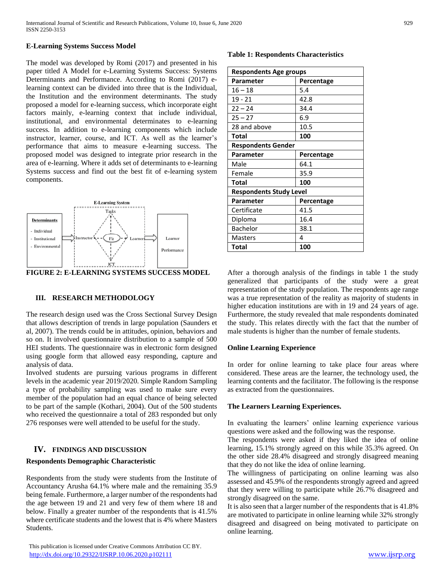#### **E-Learning Systems Success Model**

The model was developed by Romi (2017) and presented in his paper titled A Model for e-Learning Systems Success: Systems Determinants and Performance. According to Romi (2017) elearning context can be divided into three that is the Individual, the Institution and the environment determinants. The study proposed a model for e-learning success, which incorporate eight factors mainly, e-learning context that include individual, institutional, and environmental determinates to e-learning success. In addition to e-learning components which include instructor, learner, course, and ICT. As well as the learner's performance that aims to measure e-learning success. The proposed model was designed to integrate prior research in the area of e-learning. Where it adds set of determinants to e-learning Systems success and find out the best fit of e-learning system components.



**FIGURE 2: E-LEARNING SYSTEMS SUCCESS MODEL**

### **III. RESEARCH METHODOLOGY**

The research design used was the Cross Sectional Survey Design that allows description of trends in large population (Saunders et al, 2007). The trends could be in attitudes, opinion, behaviors and so on. It involved questionnaire distribution to a sample of 500 HEI students. The questionnaire was in electronic form designed using google form that allowed easy responding, capture and analysis of data.

Involved students are pursuing various programs in different levels in the academic year 2019/2020. Simple Random Sampling a type of probability sampling was used to make sure every member of the population had an equal chance of being selected to be part of the sample (Kothari, 2004). Out of the 500 students who received the questionnaire a total of 283 responded but only 276 responses were well attended to be useful for the study.

# **IV. FINDINGS AND DISCUSSION**

### **Respondents Demographic Characteristic**

Respondents from the study were students from the Institute of Accountancy Arusha 64.1% where male and the remaining 35.9 being female. Furthermore, a larger number of the respondents had the age between 19 and 21 and very few of them where 18 and below. Finally a greater number of the respondents that is 41.5% where certificate students and the lowest that is 4% where Masters Students.

#### **Table 1: Respondents Characteristics**

| <b>Respondents Age groups</b>  |            |  |  |  |  |
|--------------------------------|------------|--|--|--|--|
| <b>Parameter</b>               | Percentage |  |  |  |  |
| $16 - 18$                      | 5.4        |  |  |  |  |
| 19 - 21                        | 42.8       |  |  |  |  |
| $22 - 24$                      | 34.4       |  |  |  |  |
| $25 - 27$                      | 6.9        |  |  |  |  |
| 28 and above                   | 10.5       |  |  |  |  |
| Total                          | 100        |  |  |  |  |
| <b>Respondents Gender</b>      |            |  |  |  |  |
| Parameter                      | Percentage |  |  |  |  |
| Male                           | 64.1       |  |  |  |  |
| Female                         | 35.9       |  |  |  |  |
| Total                          | 100        |  |  |  |  |
| <b>Respondents Study Level</b> |            |  |  |  |  |
| <b>Parameter</b>               | Percentage |  |  |  |  |
| Certificate                    | 41.5       |  |  |  |  |
| Diploma                        | 16.4       |  |  |  |  |
| Bachelor                       | 38.1       |  |  |  |  |
| Masters                        | 4          |  |  |  |  |
| Total                          | 100        |  |  |  |  |

After a thorough analysis of the findings in table 1 the study generalized that participants of the study were a great representation of the study population. The respondents age range was a true representation of the reality as majority of students in higher education institutions are with in 19 and 24 years of age. Furthermore, the study revealed that male respondents dominated the study. This relates directly with the fact that the number of male students is higher than the number of female students.

### **Online Learning Experience**

In order for online learning to take place four areas where considered. These areas are the learner, the technology used, the learning contents and the facilitator. The following is the response as extracted from the questionnaires.

#### **The Learners Learning Experiences.**

In evaluating the learners' online learning experience various questions were asked and the following was the response.

The respondents were asked if they liked the idea of online learning, 15.1% strongly agreed on this while 35.3% agreed. On the other side 28.4% disagreed and strongly disagreed meaning that they do not like the idea of online learning.

The willingness of participating on online learning was also assessed and 45.9% of the respondents strongly agreed and agreed that they were willing to participate while 26.7% disagreed and strongly disagreed on the same.

It is also seen that a larger number of the respondents that is 41.8% are motivated to participate in online learning while 32% strongly disagreed and disagreed on being motivated to participate on online learning.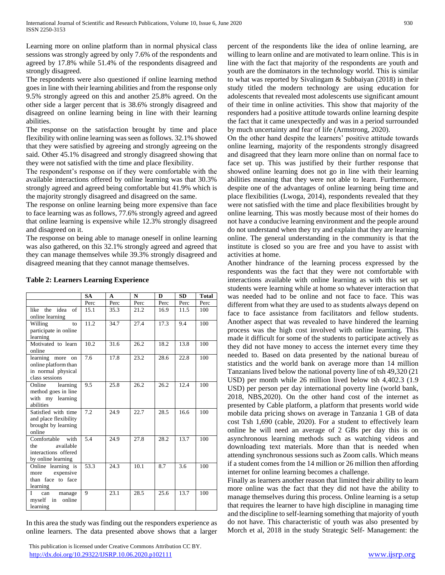Learning more on online platform than in normal physical class sessions was strongly agreed by only 7.6% of the respondents and agreed by 17.8% while 51.4% of the respondents disagreed and strongly disagreed.

The respondents were also questioned if online learning method goes in line with their learning abilities and from the response only 9.5% strongly agreed on this and another 25.8% agreed. On the other side a larger percent that is 38.6% strongly disagreed and disagreed on online learning being in line with their learning abilities.

The response on the satisfaction brought by time and place flexibility with online learning was seen as follows. 32.1% showed that they were satisfied by agreeing and strongly agreeing on the said. Other 45.1% disagreed and strongly disagreed showing that they were not satisfied with the time and place flexibility.

The respondent's response on if they were comfortable with the available interactions offered by online learning was that 30.3% strongly agreed and agreed being comfortable but 41.9% which is the majority strongly disagreed and disagreed on the same.

The response on online learning being more expensive than face to face learning was as follows, 77.6% strongly agreed and agreed that online learning is expensive while 12.3% strongly disagreed and disagreed on it.

The response on being able to manage oneself in online learning was also gathered, on this 32.1% strongly agreed and agreed that they can manage themselves while 39.3% strongly disagreed and disagreed meaning that they cannot manage themselves.

|                                                                                       | <b>SA</b> | A    | N    | $\mathbf{D}$ | <b>SD</b> | <b>Total</b> |
|---------------------------------------------------------------------------------------|-----------|------|------|--------------|-----------|--------------|
|                                                                                       | Perc      | Perc | Perc | Perc         | Perc      | Perc         |
| idea<br>of<br>like the<br>online learning                                             | 15.1      | 35.3 | 21.2 | 16.9         | 11.5      | 100          |
| Willing<br>to<br>participate in online<br>learning                                    | 11.2      | 34.7 | 27.4 | 17.3         | 9.4       | 100          |
| Motivated to learn<br>online                                                          | 10.2      | 31.6 | 26.2 | 18.2         | 13.8      | 100          |
| learning more on<br>online platform than<br>in normal physical<br>class sessions      | 7.6       | 17.8 | 23.2 | 28.6         | 22.8      | 100          |
| Online<br>learning<br>method goes in line<br>with my learning<br>abilities            | 9.5       | 25.8 | 26.2 | 26.2         | 12.4      | 100          |
| Satisfied with time<br>and place flexibility<br>brought by learning<br>online         | 7.2       | 24.9 | 22.7 | 28.5         | 16.6      | 100          |
| Comfortable<br>with<br>available<br>the<br>interactions offered<br>by online learning | 5.4       | 24.9 | 27.8 | 28.2         | 13.7      | 100          |
| Online learning is<br>expensive<br>more<br>than face to face<br>learning              | 53.3      | 24.3 | 10.1 | 8.7          | 3.6       | 100          |
| I<br>can<br>manage<br>myself<br>online<br>in<br>learning                              | 9         | 23.1 | 28.5 | 25.6         | 13.7      | 100          |

**Table 2: Learners Learning Experience**

In this area the study was finding out the responders experience as online learners. The data presented above shows that a larger percent of the respondents like the idea of online learning, are willing to learn online and are motivated to learn online. This is in line with the fact that majority of the respondents are youth and youth are the dominators in the technology world. This is similar to what was reported by Sivalingam & Subbaiyan (2018) in their study titled the modern technology are using education for adolescents that revealed most adolescents use significant amount of their time in online activities. This show that majority of the responders had a positive attitude towards online learning despite the fact that it came unexpectedly and was in a period surrounded by much uncertainty and fear of life (Armstrong, 2020).

On the other hand despite the learners' positive attitude towards online learning, majority of the respondents strongly disagreed and disagreed that they learn more online than on normal face to face set up. This was justified by their further response that showed online learning does not go in line with their learning abilities meaning that they were not able to learn. Furthermore, despite one of the advantages of online learning being time and place flexibilities (Lwoga, 2014), respondents revealed that they were not satisfied with the time and place flexibilities brought by online learning. This was mostly because most of their homes do not have a conducive learning environment and the people around do not understand when they try and explain that they are learning online. The general understanding in the community is that the institute is closed so you are free and you have to assist with activities at home.

Another hindrance of the learning process expressed by the respondents was the fact that they were not comfortable with interactions available with online learning as with this set up students were learning while at home so whatever interaction that was needed had to be online and not face to face. This was different from what they are used to as students always depend on face to face assistance from facilitators and fellow students. Another aspect that was revealed to have hindered the learning process was the high cost involved with online learning. This made it difficult for some of the students to participate actively as they did not have money to access the internet every time they needed to. Based on data presented by the national bureau of statistics and the world bank on average more than 14 million Tanzanians lived below the national poverty line of tsh 49,320 (21 USD) per month while 26 million lived below tsh 4,402.3 (1.9 USD) per person per day international poverty line (world bank, 2018, NBS,2020). On the other hand cost of the internet as presented by Cable platform, a platform that presents world wide mobile data pricing shows on average in Tanzania 1 GB of data cost Tsh 1,690 (cable, 2020). For a student to effectively learn online he will need an average of 2 GBs per day this is on asynchronous learning methods such as watching videos and downloading text materials. More than that is needed when attending synchronous sessions such as Zoom calls. Which means if a student comes from the 14 million or 26 million then affording internet for online learning becomes a challenge.

Finally as learners another reason that limited their ability to learn more online was the fact that they did not have the ability to manage themselves during this process. Online learning is a setup that requires the learner to have high discipline in managing time and the discipline to self-learning something that majority of youth do not have. This characteristic of youth was also presented by Morch et al, 2018 in the study Strategic Self- Management: the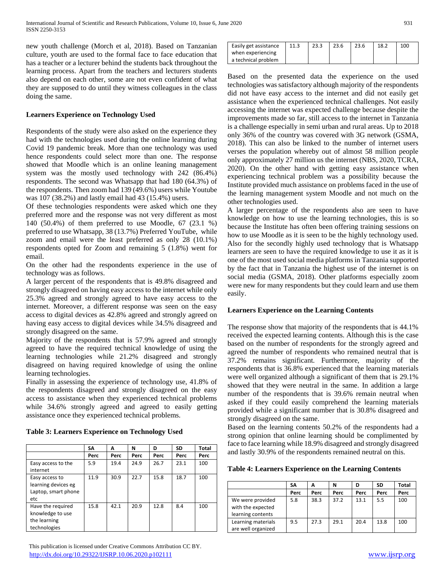new youth challenge (Morch et al, 2018). Based on Tanzanian culture, youth are used to the formal face to face education that has a teacher or a lecturer behind the students back throughout the learning process. Apart from the teachers and lecturers students also depend on each other, some are not even confident of what they are supposed to do until they witness colleagues in the class doing the same.

# **Learners Experience on Technology Used**

Respondents of the study were also asked on the experience they had with the technologies used during the online learning during Covid 19 pandemic break. More than one technology was used hence respondents could select more than one. The response showed that Moodle which is an online leaning management system was the mostly used technology with 242 (86.4%) respondents. The second was Whatsapp that had 180 (64.3%) of the respondents. Then zoom had 139 (49.6%) users while Youtube was 107 (38.2%) and lastly email had 43 (15.4%) users.

Of these technologies respondents were asked which one they preferred more and the response was not very different as most 140 (50.4%) of them preferred to use Moodle, 67 (23.1 %) preferred to use Whatsapp, 38 (13.7%) Preferred YouTube, while zoom and email were the least preferred as only 28 (10.1%) respondents opted for Zoom and remaining 5 (1.8%) went for email.

On the other had the respondents experience in the use of technology was as follows.

A larger percent of the respondents that is 49.8% disagreed and strongly disagreed on having easy access to the internet while only 25.3% agreed and strongly agreed to have easy access to the internet. Moreover, a different response was seen on the easy access to digital devices as 42.8% agreed and strongly agreed on having easy access to digital devices while 34.5% disagreed and strongly disagreed on the same.

Majority of the respondents that is 57.9% agreed and strongly agreed to have the required technical knowledge of using the learning technologies while 21.2% disagreed and strongly disagreed on having required knowledge of using the online learning technologies.

Finally in assessing the experience of technology use, 41.8% of the respondents disagreed and strongly disagreed on the easy access to assistance when they experienced technical problems while 34.6% strongly agreed and agreed to easily getting assistance once they experienced technical problems.

|                                                                       | SΛ   | A    | N    | D    | <b>SD</b> | Total |
|-----------------------------------------------------------------------|------|------|------|------|-----------|-------|
|                                                                       | Perc | Perc | Perc | Perc | Perc      | Perc  |
| Easy access to the<br>internet                                        | 5.9  | 19.4 | 24.9 | 26.7 | 23.1      | 100   |
| Easy access to<br>learning devices eg<br>Laptop, smart phone<br>etc   | 11.9 | 30.9 | 22.7 | 15.8 | 18.7      | 100   |
| Have the required<br>knowledge to use<br>the learning<br>technologies | 15.8 | 42.1 | 20.9 | 12.8 | 8.4       | 100   |

**Table 3: Learners Experience on Technology Used**

| Easily get assistance | 11.3 | 23.3 | 23.6 | 23.6 | 18.2 | 100 |
|-----------------------|------|------|------|------|------|-----|
| when experiencing     |      |      |      |      |      |     |
| a technical problem   |      |      |      |      |      |     |

Based on the presented data the experience on the used technologies was satisfactory although majority of the respondents did not have easy access to the internet and did not easily get assistance when the experienced technical challenges. Not easily accessing the internet was expected challenge because despite the improvements made so far, still access to the internet in Tanzania is a challenge especially in semi urban and rural areas. Up to 2018 only 36% of the country was covered with 3G network (GSMA, 2018). This can also be linked to the number of internet users verses the population whereby out of almost 58 million people only approximately 27 million us the internet (NBS, 2020, TCRA, 2020). On the other hand with getting easy assistance when experiencing technical problem was a possibility because the Institute provided much assistance on problems faced in the use of the learning management system Moodle and not much on the other technologies used.

A larger percentage of the respondents also are seen to have knowledge on how to use the learning technologies, this is so because the Institute has often been offering training sessions on how to use Moodle as it is seen to be the highly technology used. Also for the secondly highly used technology that is Whatsapp learners are seen to have the required knowledge to use it as it is one of the most used social media platforms in Tanzania supported by the fact that in Tanzania the highest use of the internet is on social media (GSMA, 2018). Other platforms especially zoom were new for many respondents but they could learn and use them easily.

### **Learners Experience on the Learning Contents**

The response show that majority of the respondents that is 44.1% received the expected learning contents. Although this is the case based on the number of respondents for the strongly agreed and agreed the number of respondents who remained neutral that is 37.2% remains significant. Furthermore, majority of the respondents that is 36.8% experienced that the learning materials were well organized although a significant of them that is 29.1% showed that they were neutral in the same. In addition a large number of the respondents that is 39.6% remain neutral when asked if they could easily comprehend the learning materials provided while a significant number that is 30.8% disagreed and strongly disagreed on the same.

Based on the learning contents 50.2% of the respondents had a strong opinion that online learning should be complimented by face to face learning while 18.9% disagreed and strongly disagreed and lastly 30.9% of the respondents remained neutral on this.

|  | Table 4: Learners Experience on the Learning Contents |  |  |
|--|-------------------------------------------------------|--|--|
|  |                                                       |  |  |

|                                                            | SΑ   | A    | N    | D    | <b>SD</b> | Total |
|------------------------------------------------------------|------|------|------|------|-----------|-------|
|                                                            | Perc | Perc | Perc | Perc | Perc      | Perc  |
| We were provided<br>with the expected<br>learning contents | 5.8  | 38.3 | 37.2 | 13.1 | 5.5       | 100   |
| Learning materials<br>are well organized                   | 9.5  | 27.3 | 29.1 | 20.4 | 13.8      | 100   |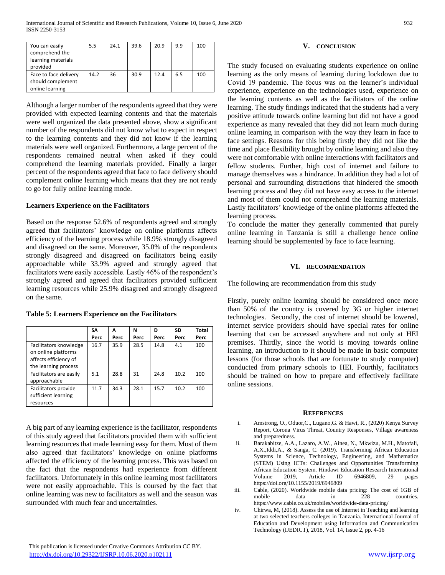| You can easily        | 5.5  | 24.1 | 39.6 | 20.9 | 9.9 | 100 |
|-----------------------|------|------|------|------|-----|-----|
| comprehend the        |      |      |      |      |     |     |
| learning materials    |      |      |      |      |     |     |
| provided              |      |      |      |      |     |     |
| Face to face delivery | 14.2 | 36   | 30.9 | 12.4 | 6.5 | 100 |
| should complement     |      |      |      |      |     |     |
| online learning       |      |      |      |      |     |     |

Although a larger number of the respondents agreed that they were provided with expected learning contents and that the materials were well organized the data presented above, show a significant number of the respondents did not know what to expect in respect to the learning contents and they did not know if the learning materials were well organized. Furthermore, a large percent of the respondents remained neutral when asked if they could comprehend the learning materials provided. Finally a larger percent of the respondents agreed that face to face delivery should complement online learning which means that they are not ready to go for fully online learning mode.

### **Learners Experience on the Facilitators**

Based on the response 52.6% of respondents agreed and strongly agreed that facilitators' knowledge on online platforms affects efficiency of the learning process while 18.9% strongly disagreed and disagreed on the same. Moreover, 35.0% of the respondents strongly disagreed and disagreed on facilitators being easily approachable while 33.9% agreed and strongly agreed that facilitators were easily accessible. Lastly 46% of the respondent's strongly agreed and agreed that facilitators provided sufficient learning resources while 25.9% disagreed and strongly disagreed on the same.

|                                                                                                | SΑ   | A    | N    | D    | SD   | Total |
|------------------------------------------------------------------------------------------------|------|------|------|------|------|-------|
|                                                                                                | Perc | Perc | Perc | Perc | Perc | Perc  |
| Facilitators knowledge<br>on online platforms<br>affects efficiency of<br>the learning process | 16.7 | 35.9 | 28.5 | 14.8 | 4.1  | 100   |
| Facilitators are easily<br>approachable                                                        | 5.1  | 28.8 | 31   | 24.8 | 10.2 | 100   |
| Facilitators provide<br>sufficient learning<br>resources                                       | 11.7 | 34.3 | 28.1 | 15.7 | 10.2 | 100   |

**Table 5: Learners Experience on the Facilitators**

A big part of any learning experience is the facilitator, respondents of this study agreed that facilitators provided them with sufficient learning resources that made learning easy for them. Most of them also agreed that facilitators' knowledge on online platforms affected the efficiency of the learning process. This was based on the fact that the respondents had experience from different facilitators. Unfortunately in this online learning most facilitators were not easily approachable. This is coursed by the fact that online learning was new to facilitators as well and the season was surrounded with much fear and uncertainties.

#### **V. CONCLUSION**

The study focused on evaluating students experience on online learning as the only means of learning during lockdown due to Covid 19 pandemic. The focus was on the learner's individual experience, experience on the technologies used, experience on the learning contents as well as the facilitators of the online learning. The study findings indicated that the students had a very positive attitude towards online learning but did not have a good experience as many revealed that they did not learn much during online learning in comparison with the way they learn in face to face settings. Reasons for this being firstly they did not like the time and place flexibility brought by online learning and also they were not comfortable with online interactions with facilitators and fellow students. Further, high cost of internet and failure to manage themselves was a hindrance. In addition they had a lot of personal and surrounding distractions that hindered the smooth learning process and they did not have easy access to the internet and most of them could not comprehend the learning materials. Lastly facilitators' knowledge of the online platforms affected the learning process.

To conclude the matter they generally commented that purely online learning in Tanzania is still a challenge hence online learning should be supplemented by face to face learning.

#### **VI. RECOMMENDATION**

The following are recommendation from this study

Firstly, purely online learning should be considered once more than 50% of the country is covered by 3G or higher internet technologies. Secondly, the cost of internet should be lowered, internet service providers should have special rates for online learning that can be accessed anywhere and not only at HEI premises. Thirdly, since the world is moving towards online learning, an introduction to it should be made in basic computer lessons (for those schools that are fortunate to study computer) conducted from primary schools to HEI. Fourthly, facilitators should be trained on how to prepare and effectively facilitate online sessions.

#### **REFERENCES**

- i. Amstrong, O., Oduor,C., Lugano,G. & Hawi, R., (2020) Kenya Survey Report, Corona Virus Threat, Country Responses, Village awareness and preparedness.
- ii. Barakabitze, A.A., Lazaro, A.W., Ainea, N., Mkwizu, M.H., Matofali, A.X.,Iddi,A., & Sanga, C. (2019). Transforming African Education Systems in Science, Technology, Engineering, and Mathematics (STEM) Using ICTs: Challenges and Opportunities Transforming African Education System. Hindawi Education Research International Volume 2019, Article ID 6946809, 29 pages https://doi.org/10.1155/2019/6946809
- iii. Cable, (2020). Worldwide mobile data pricing: The cost of 1GB of mobile data in 228 countries. https://www.cable.co.uk/mobiles/worldwide-data-pricing/
- iv. Chirwa, M, (2018). Assess the use of Internet in Teaching and learning at two selected teachers colleges in Tanzania. International Journal of Education and Development using Information and Communication Technology (IJEDICT), 2018, Vol. 14, Issue 2, pp. 4-16